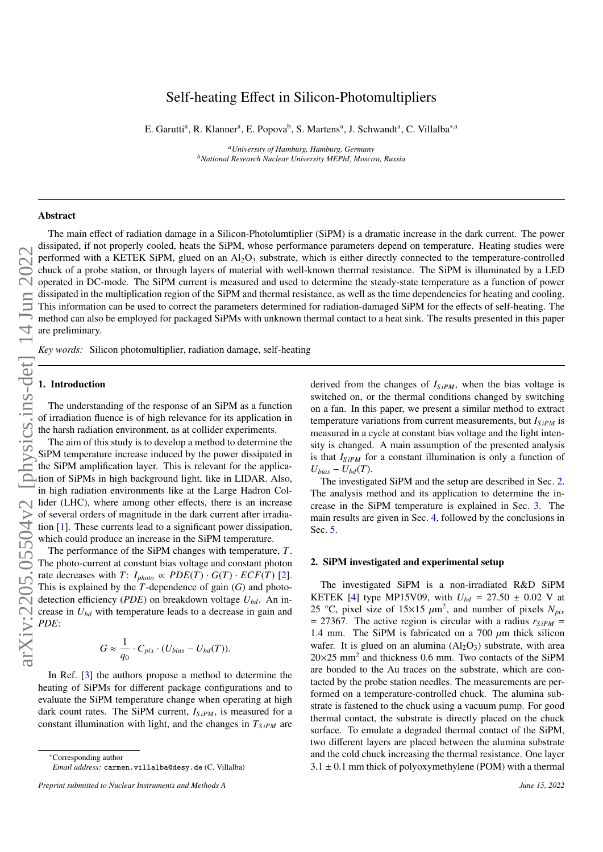# Self-heating Effect in Silicon-Photomultipliers

E. Garutti<sup>a</sup>, R. Klanner<sup>a</sup>, E. Popova<sup>b</sup>, S. Martens<sup>a</sup>, J. Schwandt<sup>a</sup>, C. Villalba<sup>\*,a</sup>

*<sup>a</sup>University of Hamburg, Hamburg, Germany <sup>b</sup>National Research Nuclear University MEPhI, Moscow, Russia*

### Abstract

The main effect of radiation damage in a Silicon-Photolumtiplier (SiPM) is a dramatic increase in the dark current. The power dissipated, if not properly cooled, heats the SiPM, whose performance parameters depend on temperature. Heating studies were performed with a KETEK SiPM, glued on an  $\text{Al}_2\text{O}_3$  substrate, which is either directly connected to the temperature-controlled chuck of a probe station, or through layers of material with well-known thermal resistance. The SiPM is illuminated by a LED operated in DC-mode. The SiPM current is measured and used to determine the steady-state temperature as a function of power dissipated in the multiplication region of the SiPM and thermal resistance, as well as the time dependencies for heating and cooling. This information can be used to correct the parameters determined for radiation-damaged SiPM for the effects of self-heating. The method can also be employed for packaged SiPMs with unknown thermal contact to a heat sink. The results presented in this paper are preliminary.

*Key words:* Silicon photomultiplier, radiation damage, self-heating

#### 1. Introduction

The understanding of the response of an SiPM as a function of irradiation fluence is of high relevance for its application in the harsh radiation environment, as at collider experiments.

The aim of this study is to develop a method to determine the SiPM temperature increase induced by the power dissipated in the SiPM amplification layer. This is relevant for the application of SiPMs in high background light, like in LIDAR. Also, in high radiation environments like at the Large Hadron Collider (LHC), where among other effects, there is an increase

of several orders of magnitude in the dark current after irradiation [\[1\]](#page-3-0). These currents lead to a significant power dissipation, which could produce an increase in the SiPM temperature.

The performance of the SiPM changes with temperature, *T*. The photo-current at constant bias voltage and constant photon rate decreases with  $T: I_{photo} \propto PDE(T) \cdot G(T) \cdot ECF(T)$  [\[2\]](#page-3-1). This is explained by the *T*-dependence of gain (*G*) and photodetection efficiency (*PDE*) on breakdown voltage *Ubd*. An increase in *Ubd* with temperature leads to a decrease in gain and *PDE*:

$$
G \approx \frac{1}{q_0} \cdot C_{pix} \cdot (U_{bias} - U_{bd}(T)).
$$

In Ref. [\[3\]](#page-3-2) the authors propose a method to determine the heating of SiPMs for different package configurations and to evaluate the SiPM temperature change when operating at high dark count rates. The SiPM current,  $I_{SiPM}$ , is measured for a constant illumination with light, and the changes in  $T_{SiPM}$  are derived from the changes of  $I_{SiPM}$ , when the bias voltage is switched on, or the thermal conditions changed by switching on a fan. In this paper, we present a similar method to extract temperature variations from current measurements, but *IS iPM* is measured in a cycle at constant bias voltage and the light intensity is changed. A main assumption of the presented analysis is that  $I_{SiPM}$  for a constant illumination is only a function of  $U_{bias} - U_{bd}(T)$ .

The investigated SiPM and the setup are described in Sec. [2.](#page-0-0) The analysis method and its application to determine the increase in the SiPM temperature is explained in Sec. [3.](#page-1-0) The main results are given in Sec. [4,](#page-1-1) followed by the conclusions in Sec. [5.](#page-3-3)

#### <span id="page-0-0"></span>2. SiPM investigated and experimental setup

The investigated SiPM is a non-irradiated R&D SiPM KETEK [\[4\]](#page-3-4) type MP15V09, with  $U_{bd} = 27.50 \pm 0.02$  V at 25 °C, pixel size of  $15 \times 15 \mu m^2$ , and number of pixels  $N_{pix}$ <br>- 27367. The active region is circular with a radius region  $= 27367$ . The active region is circular with a radius  $r_{SIPM} =$ 1.4 mm. The SiPM is fabricated on a 700  $\mu$ m thick silicon wafer. It is glued on an alumina  $(Al_2O_3)$  substrate, with area  $20\times25$  mm<sup>2</sup> and thickness 0.6 mm. Two contacts of the SiPM are bonded to the Au traces on the substrate, which are contacted by the probe station needles. The measurements are performed on a temperature-controlled chuck. The alumina substrate is fastened to the chuck using a vacuum pump. For good thermal contact, the substrate is directly placed on the chuck surface. To emulate a degraded thermal contact of the SiPM, two different layers are placed between the alumina substrate and the cold chuck increasing the thermal resistance. One layer  $3.1 \pm 0.1$  mm thick of polyoxymethylene (POM) with a thermal

<sup>∗</sup>Corresponding author *Email address:* carmen.villalba@desy.de (C. Villalba)

*Preprint submitted to Nuclear Instruments and Methods A June 15, 2022*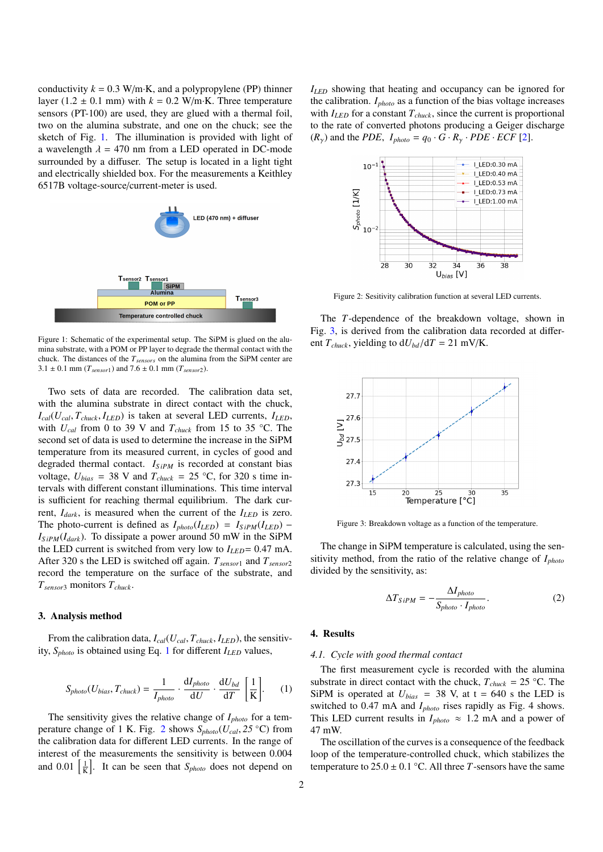conductivity  $k = 0.3$  W/m·K, and a polypropylene (PP) thinner layer (1.2  $\pm$  0.1 mm) with  $k = 0.2$  W/m·K. Three temperature sensors (PT-100) are used, they are glued with a thermal foil, two on the alumina substrate, and one on the chuck; see the sketch of Fig. [1.](#page-1-2) The illumination is provided with light of a wavelength  $\lambda = 470$  nm from a LED operated in DC-mode surrounded by a diffuser. The setup is located in a light tight and electrically shielded box. For the measurements a Keithley 6517B voltage-source/current-meter is used.



<span id="page-1-2"></span>Figure 1: Schematic of the experimental setup. The SiPM is glued on the alumina substrate, with a POM or PP layer to degrade the thermal contact with the chuck. The distances of the *Tsensors* on the alumina from the SiPM center are  $3.1 \pm 0.1$  mm ( $T_{sensor1}$ ) and  $7.6 \pm 0.1$  mm ( $T_{sensor2}$ ).

Two sets of data are recorded. The calibration data set, with the alumina substrate in direct contact with the chuck,  $I_{cal}(U_{cal}, T_{chuck}, I_{LED})$  is taken at several LED currents,  $I_{LED}$ , with  $U_{cal}$  from 0 to 39 V and  $T_{chuck}$  from 15 to 35 °C. The second set of data is used to determine the increase in the SiPM temperature from its measured current, in cycles of good and degraded thermal contact. *I*<sub>SiPM</sub> is recorded at constant bias voltage,  $U_{bias} = 38$  V and  $T_{chuck} = 25$  °C, for 320 s time intervals with different constant illuminations. This time interval is sufficient for reaching thermal equilibrium. The dark current,  $I_{dark}$ , is measured when the current of the  $I_{LED}$  is zero. The photo-current is defined as  $I_{photo}(I_{LED}) = I_{SIPM}(I_{LED}) I_{SiPM}(I_{dark})$ . To dissipate a power around 50 mW in the SiPM the LED current is switched from very low to  $I_{LED} = 0.47$  mA. After 320 s the LED is switched off again. *Tsensor*<sup>1</sup> and *Tsensor*<sup>2</sup> record the temperature on the surface of the substrate, and *Tsensor*<sup>3</sup> monitors *Tchuck*.

#### <span id="page-1-0"></span>3. Analysis method

From the calibration data,  $I_{cal}(U_{cal}, T_{chuck}, I_{LED})$ , the sensitivity, *Sphoto* is obtained using Eq. [1](#page-1-3) for different *ILED* values,

<span id="page-1-3"></span>
$$
S_{photo}(U_{bias}, T_{chuck}) = \frac{1}{I_{photo}} \cdot \frac{\mathrm{d}I_{photo}}{\mathrm{d}U} \cdot \frac{\mathrm{d}U_{bd}}{\mathrm{d}T} \left[\frac{1}{K}\right].\tag{1}
$$

The sensitivity gives the relative change of *Iphoto* for a tem-perature change of 1 K. Fig. [2](#page-1-4) shows  $S_{photo}(U_{cal}, 25 \degree C)$  from the calibration data for different LED currents. In the range of interest of the measurements the sensitivity is between 0.004 and  $0.01 \left[ \frac{1}{K} \right]$ . It can be seen that *S*<sub>*photo*</sub> does not depend on

*ILED* showing that heating and occupancy can be ignored for the calibration. *Iphoto* as a function of the bias voltage increases with *ILED* for a constant *Tchuck*, since the current is proportional to the rate of converted photons producing a Geiger discharge  $(R_{\gamma})$  and the *PDE*,  $I_{photo} = q_0 \cdot G \cdot R_{\gamma} \cdot PDE \cdot ECF$  [\[2\]](#page-3-1).



<span id="page-1-4"></span>Figure 2: Sesitivity calibration function at several LED currents.

The *T*-dependence of the breakdown voltage, shown in Fig. [3,](#page-1-5) is derived from the calibration data recorded at different  $T_{chuck}$ , yielding to  $dU_{bd}/dT = 21$  mV/K.



<span id="page-1-5"></span>Figure 3: Breakdown voltage as a function of the temperature.

The change in SiPM temperature is calculated, using the sensitivity method, from the ratio of the relative change of *Iphoto* divided by the sensitivity, as:

<span id="page-1-6"></span>
$$
\Delta T_{SiPM} = -\frac{\Delta I_{photo}}{S_{photo} \cdot I_{photo}}.\tag{2}
$$

#### <span id="page-1-1"></span>4. Results

#### *4.1. Cycle with good thermal contact*

The first measurement cycle is recorded with the alumina substrate in direct contact with the chuck,  $T_{chuck} = 25$  °C. The SiPM is operated at  $U_{bias}$  = 38 V, at t = 640 s the LED is switched to 0.47 mA and *Iphoto* rises rapidly as Fig. 4 shows. This LED current results in  $I_{photo} \approx 1.2$  mA and a power of 47 mW.

The oscillation of the curves is a consequence of the feedback loop of the temperature-controlled chuck, which stabilizes the temperature to  $25.0 \pm 0.1$  °C. All three *T*-sensors have the same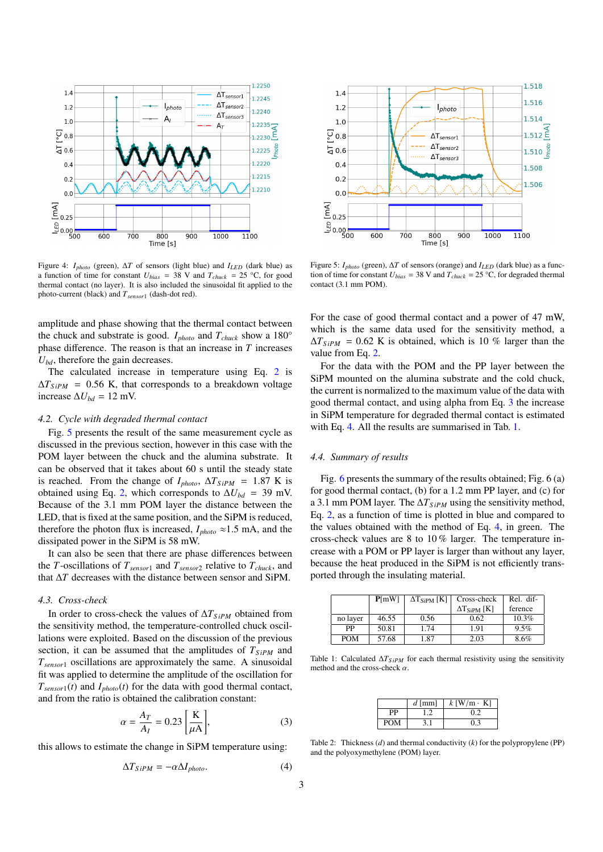

Figure 4: *Iphoto* (green), ∆*T* of sensors (light blue) and *ILED* (dark blue) as a function of time for constant  $U_{bias} = 38$  V and  $T_{chuck} = 25$  °C, for good thermal contact (no layer). It is also included the sinusoidal fit applied to the photo-current (black) and *Tsensor*<sup>1</sup> (dash-dot red).

amplitude and phase showing that the thermal contact between the chuck and substrate is good. *Iphoto* and *Tchuck* show a 180° phase difference. The reason is that an increase in *T* increases *Ubd*, therefore the gain decreases.

The calculated increase in temperature using Eq. [2](#page-1-6) is  $\Delta T_{SiPM}$  = 0.56 K, that corresponds to a breakdown voltage increase  $\Delta U_{bd}$  = 12 mV.

#### *4.2. Cycle with degraded thermal contact*

Fig. [5](#page-2-0) presents the result of the same measurement cycle as discussed in the previous section, however in this case with the POM layer between the chuck and the alumina substrate. It can be observed that it takes about 60 s until the steady state is reached. From the change of  $I_{photo}$ ,  $\Delta T_{SiPM}$  = 1.87 K is obtained using Eq. [2,](#page-1-6) which corresponds to  $\Delta U_{bd}$  = 39 mV. Because of the 3.1 mm POM layer the distance between the LED, that is fixed at the same position, and the SiPM is reduced, therefore the photon flux is increased,  $I_{photo} \approx 1.5$  mA, and the dissipated power in the SiPM is 58 mW.

It can also be seen that there are phase differences between the *T*-oscillations of *Tsensor*<sup>1</sup> and *Tsensor*<sup>2</sup> relative to *Tchuck*, and that ∆*T* decreases with the distance between sensor and SiPM.

#### *4.3. Cross-check*

In order to cross-check the values of ∆*TS iPM* obtained from the sensitivity method, the temperature-controlled chuck oscillations were exploited. Based on the discussion of the previous section, it can be assumed that the amplitudes of  $T_{SiPM}$  and *Tsensor*<sup>1</sup> oscillations are approximately the same. A sinusoidal fit was applied to determine the amplitude of the oscillation for  $T_{sensor1}(t)$  and  $I_{photo}(t)$  for the data with good thermal contact, and from the ratio is obtained the calibration constant:

<span id="page-2-1"></span>
$$
\alpha = \frac{A_T}{A_I} = 0.23 \left[ \frac{\text{K}}{\mu \text{A}} \right],\tag{3}
$$

this allows to estimate the change in SiPM temperature using:

<span id="page-2-2"></span>
$$
\Delta T_{SiPM} = -\alpha \Delta I_{photo}.\tag{4}
$$



<span id="page-2-0"></span>Figure 5: *Iphoto* (green), ∆*T* of sensors (orange) and *ILED* (dark blue) as a function of time for constant  $U_{bias} = 38$  V and  $T_{chuck} = 25$  °C, for degraded thermal contact (3.1 mm POM).

For the case of good thermal contact and a power of 47 mW, which is the same data used for the sensitivity method, a  $\Delta T_{SiPM}$  = 0.62 K is obtained, which is 10 % larger than the value from Eq. [2.](#page-1-6)

For the data with the POM and the PP layer between the SiPM mounted on the alumina substrate and the cold chuck, the current is normalized to the maximum value of the data with good thermal contact, and using alpha from Eq. [3](#page-2-1) the increase in SiPM temperature for degraded thermal contact is estimated with Eq. [4.](#page-2-2) All the results are summarised in Tab. [1.](#page-2-3)

#### *4.4. Summary of results*

Fig. [6](#page-3-5) presents the summary of the results obtained; Fig. 6 (a) for good thermal contact, (b) for a 1.2 mm PP layer, and (c) for a 3.1 mm POM layer. The ∆*TS iPM* using the sensitivity method, Eq. [2,](#page-1-6) as a function of time is plotted in blue and compared to the values obtained with the method of Eq. [4,](#page-2-2) in green. The cross-check values are 8 to 10 % larger. The temperature increase with a POM or PP layer is larger than without any layer, because the heat produced in the SiPM is not efficiently transported through the insulating material.

|            | P[mW] | $\Delta T_{\rm SiPM}$ [K] | Cross-check                  | Rel. dif- |
|------------|-------|---------------------------|------------------------------|-----------|
|            |       |                           | $\Delta T_{\text{SiPM}}$ [K] | ference   |
| no layer   | 46.55 | 0.56                      | 0.62                         | 10.3%     |
| PP         | 50.81 | 1.74                      | 1.91                         | 9.5%      |
| <b>POM</b> | 57.68 | 1.87                      | 2.03                         | 8.6%      |
|            |       |                           |                              |           |

<span id="page-2-3"></span>Table 1: Calculated ∆*TS iPM* for each thermal resistivity using the sensitivity method and the cross-check  $\alpha$ .

| РP<br>02 |            | $d$ [mm] | $k$ [W/m $\cdot$ K] |  |
|----------|------------|----------|---------------------|--|
|          |            |          |                     |  |
|          | <b>POM</b> |          | በ 3                 |  |

Table 2: Thickness (*d*) and thermal conductivity (*k*) for the polypropylene (PP) and the polyoxymethylene (POM) layer.